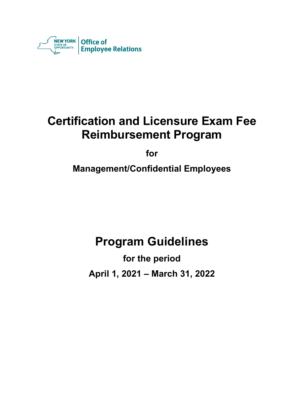

# **Certification and Licensure Exam Fee Reimbursement Program**

**for**

**Management/Confidential Employees**

# **Program Guidelines**

**for the period April 1, 2021 – March 31, 2022**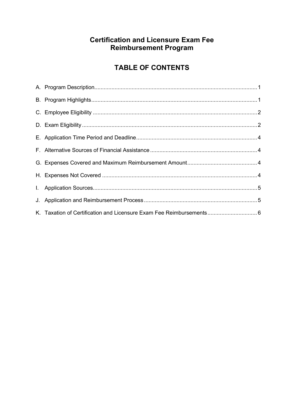# **Certification and Licensure Exam Fee Reimbursement Program**

# **TABLE OF CONTENTS**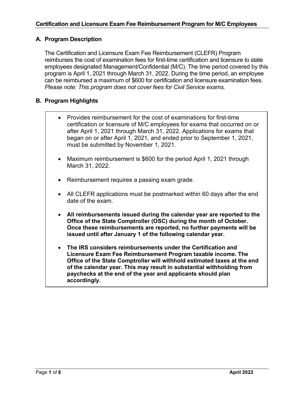# **A. Program Description**

The Certification and Licensure Exam Fee Reimbursement (CLEFR) Program reimburses the cost of examination fees for first-time certification and licensure to state employees designated Management/Confidential (M/C). The time period covered by this program is April 1, 2021 through March 31, 2022. During the time period, an employee can be reimbursed a maximum of \$600 for certification and licensure examination fees. *Please note: This program does not cover fees for Civil Service exams.*

# **B. Program Highlights**

- Provides reimbursement for the cost of examinations for first-time certification or licensure of M/C employees for exams that occurred on or after April 1, 2021 through March 31, 2022. Applications for exams that began on or after April 1, 2021, and ended prior to September 1, 2021, must be submitted by November 1, 2021.
- Maximum reimbursement is \$600 for the period April 1, 2021 through March 31, 2022.
- Reimbursement requires a passing exam grade.
- All CLEFR applications must be postmarked within 60 days after the end date of the exam.
- **All reimbursements issued during the calendar year are reported to the Office of the State Comptroller (OSC) during the month of October. Once these reimbursements are reported, no further payments will be issued until after January 1 of the following calendar year.**
- **The IRS considers reimbursements under the Certification and Licensure Exam Fee Reimbursement Program taxable income. The Office of the State Comptroller will withhold estimated taxes at the end of the calendar year. This may result in substantial withholding from paychecks at the end of the year and applicants should plan accordingly.**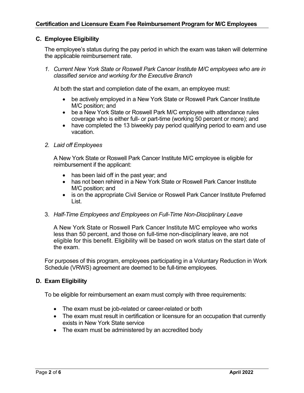# **C. Employee Eligibility**

The employee's status during the pay period in which the exam was taken will determine the applicable reimbursement rate.

*1. Current New York State or Roswell Park Cancer Institute M/C employees who are in classified service and working for the Executive Branch*

At both the start and completion date of the exam, an employee must:

- be actively employed in a New York State or Roswell Park Cancer Institute M/C position; and
- be a New York State or Roswell Park M/C employee with attendance rules coverage who is either full- or part-time (working 50 percent or more); and
- have completed the 13 biweekly pay period qualifying period to earn and use vacation.

#### *2. Laid off Employees*

A New York State or Roswell Park Cancer Institute M/C employee is eligible for reimbursement if the applicant:

- has been laid off in the past year; and
- has not been rehired in a New York State or Roswell Park Cancer Institute M/C position; and
- is on the appropriate Civil Service or Roswell Park Cancer Institute Preferred List.

#### 3. *Half-Time Employees and Employees on Full-Time Non-Disciplinary Leave*

A New York State or Roswell Park Cancer Institute M/C employee who works less than 50 percent, and those on full-time non-disciplinary leave, are not eligible for this benefit. Eligibility will be based on work status on the start date of the exam.

For purposes of this program, employees participating in a Voluntary Reduction in Work Schedule (VRWS) agreement are deemed to be full-time employees.

### **D. Exam Eligibility**

To be eligible for reimbursement an exam must comply with three requirements:

- The exam must be job-related or career-related or both
- The exam must result in certification or licensure for an occupation that currently exists in New York State service
- The exam must be administered by an accredited body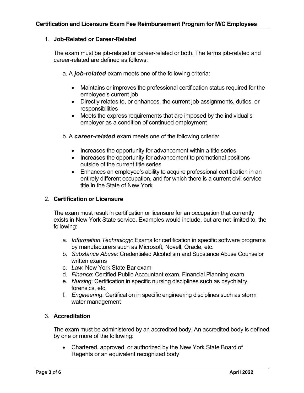## 1. **Job-Related or Career-Related**

The exam must be job-related or career-related or both. The terms job-related and career-related are defined as follows:

a. A *job-related* exam meets one of the following criteria:

- Maintains or improves the professional certification status required for the employee's current job
- Directly relates to, or enhances, the current job assignments, duties, or responsibilities
- Meets the express requirements that are imposed by the individual's employer as a condition of continued employment

b. A *career-related* exam meets one of the following criteria:

- Increases the opportunity for advancement within a title series
- Increases the opportunity for advancement to promotional positions outside of the current title series
- Enhances an employee's ability to acquire professional certification in an entirely different occupation, and for which there is a current civil service title in the State of New York

## 2. **Certification or Licensure**

The exam must result in certification or licensure for an occupation that currently exists in New York State service. Examples would include, but are not limited to, the following:

- a. *Information Technology*: Exams for certification in specific software programs by manufacturers such as Microsoft, Novell, Oracle, etc.
- b. *Substance Abuse*: Credentialed Alcoholism and Substance Abuse Counselor written exams
- c. *Law*: New York State Bar exam
- d. *Finance*: Certified Public Accountant exam, Financial Planning exam
- e. *Nursing*: Certification in specific nursing disciplines such as psychiatry, forensics, etc.
- f. *Engineering*: Certification in specific engineering disciplines such as storm water management

# 3. **Accreditation**

The exam must be administered by an accredited body. An accredited body is defined by one or more of the following:

• Chartered, approved, or authorized by the New York State Board of Regents or an equivalent recognized body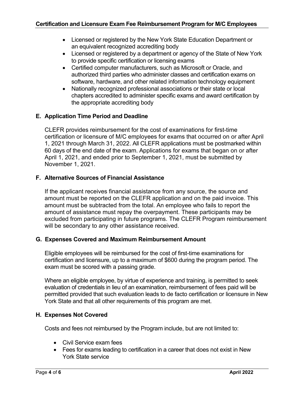- Licensed or registered by the New York State Education Department or an equivalent recognized accrediting body
- Licensed or registered by a department or agency of the State of New York to provide specific certification or licensing exams
- Certified computer manufacturers, such as Microsoft or Oracle, and authorized third parties who administer classes and certification exams on software, hardware, and other related information technology equipment
- Nationally recognized professional associations or their state or local chapters accredited to administer specific exams and award certification by the appropriate accrediting body

# **E. Application Time Period and Deadline**

CLEFR provides reimbursement for the cost of examinations for first-time certification or licensure of M/C employees for exams that occurred on or after April 1, 2021 through March 31, 2022. All CLEFR applications must be postmarked within 60 days of the end date of the exam. Applications for exams that began on or after April 1, 2021, and ended prior to September 1, 2021, must be submitted by November 1, 2021.

# **F. Alternative Sources of Financial Assistance**

If the applicant receives financial assistance from any source, the source and amount must be reported on the CLEFR application and on the paid invoice. This amount must be subtracted from the total. An employee who fails to report the amount of assistance must repay the overpayment. These participants may be excluded from participating in future programs. The CLEFR Program reimbursement will be secondary to any other assistance received.

### **G. Expenses Covered and Maximum Reimbursement Amount**

Eligible employees will be reimbursed for the cost of first-time examinations for certification and licensure, up to a maximum of \$600 during the program period. The exam must be scored with a passing grade.

Where an eligible employee, by virtue of experience and training, is permitted to seek evaluation of credentials in lieu of an examination, reimbursement of fees paid will be permitted provided that such evaluation leads to de facto certification or licensure in New York State and that all other requirements of this program are met.

### **H. Expenses Not Covered**

Costs and fees not reimbursed by the Program include, but are not limited to:

- Civil Service exam fees
- Fees for exams leading to certification in a career that does not exist in New York State service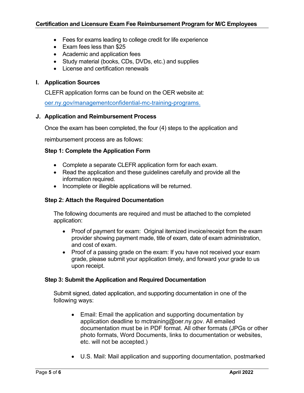- Fees for exams leading to college credit for life experience
- Exam fees less than \$25
- Academic and application fees
- Study material (books, CDs, DVDs, etc.) and supplies
- License and certification renewals

#### **I. Application Sources**

CLEFR application forms can be found on the OER website at:

oer.ny.gov/managementconfidential-mc-training-programs.

#### **J. Application and Reimbursement Process**

Once the exam has been completed, the four (4) steps to the application and

reimbursement process are as follows:

### **Step 1: Complete the Application Form**

- Complete a separate CLEFR application form for each exam.
- Read the application and these guidelines carefully and provide all the information required.
- Incomplete or illegible applications will be returned.

### **Step 2: Attach the Required Documentation**

The following documents are required and must be attached to the completed application:

- Proof of payment for exam: Original itemized invoice/receipt from the exam provider showing payment made, title of exam, date of exam administration, and cost of exam.
- Proof of a passing grade on the exam: If you have not received your exam grade, please submit your application timely, and forward your grade to us upon receipt.

#### **Step 3: Submit the Application and Required Documentation**

Submit signed, dated application, and supporting documentation in one of the following ways:

- Email: Email the application and supporting documentation by application deadline to mctraining@oer.ny.gov. All emailed documentation must be in PDF format. All other formats (JPGs or other photo formats, Word Documents, links to documentation or websites, etc. will not be accepted.)
- U.S. Mail: Mail application and supporting documentation, postmarked